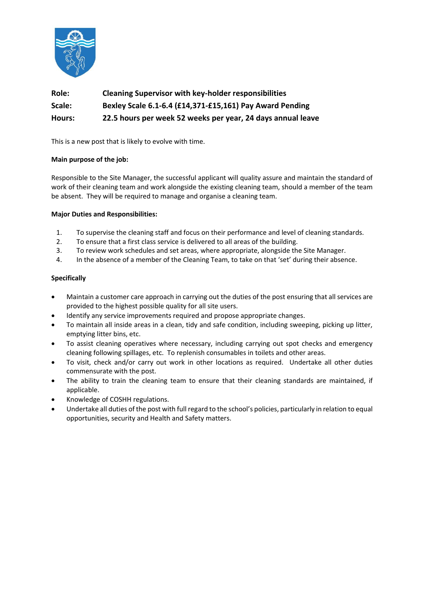

# **Role: Cleaning Supervisor with key-holder responsibilities Scale: Bexley Scale 6.1-6.4 (£14,371-£15,161) Pay Award Pending Hours: 22.5 hours per week 52 weeks per year, 24 days annual leave**

This is a new post that is likely to evolve with time.

### **Main purpose of the job:**

Responsible to the Site Manager, the successful applicant will quality assure and maintain the standard of work of their cleaning team and work alongside the existing cleaning team, should a member of the team be absent. They will be required to manage and organise a cleaning team.

### **Major Duties and Responsibilities:**

- 1. To supervise the cleaning staff and focus on their performance and level of cleaning standards.
- 2. To ensure that a first class service is delivered to all areas of the building.
- 3. To review work schedules and set areas, where appropriate, alongside the Site Manager.
- 4. In the absence of a member of the Cleaning Team, to take on that 'set' during their absence.

### **Specifically**

- Maintain a customer care approach in carrying out the duties of the post ensuring that all services are provided to the highest possible quality for all site users.
- Identify any service improvements required and propose appropriate changes.
- To maintain all inside areas in a clean, tidy and safe condition, including sweeping, picking up litter, emptying litter bins, etc.
- To assist cleaning operatives where necessary, including carrying out spot checks and emergency cleaning following spillages, etc. To replenish consumables in toilets and other areas.
- To visit, check and/or carry out work in other locations as required. Undertake all other duties commensurate with the post.
- The ability to train the cleaning team to ensure that their cleaning standards are maintained, if applicable.
- Knowledge of COSHH regulations.
- Undertake all duties of the post with full regard to the school's policies, particularly in relation to equal opportunities, security and Health and Safety matters.